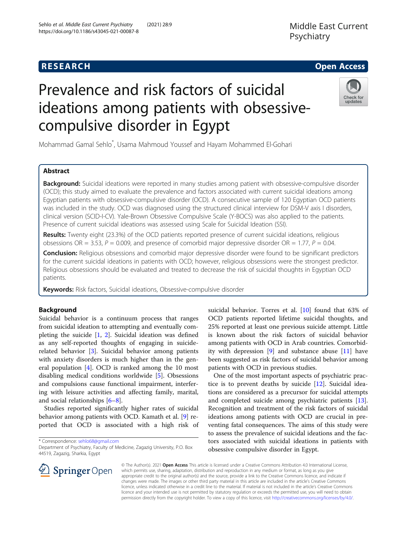# **RESEARCH CHE Open Access**

# Prevalence and risk factors of suicidal ideations among patients with obsessivecompulsive disorder in Egypt



Mohammad Gamal Sehlo\* , Usama Mahmoud Youssef and Hayam Mohammed El-Gohari

## Abstract

**Background:** Suicidal ideations were reported in many studies among patient with obsessive-compulsive disorder (OCD); this study aimed to evaluate the prevalence and factors associated with current suicidal ideations among Egyptian patients with obsessive-compulsive disorder (OCD). A consecutive sample of 120 Egyptian OCD patients was included in the study. OCD was diagnosed using the structured clinical interview for DSM-V axis Ι disorders, clinical version (SCID-I-CV). Yale-Brown Obsessive Compulsive Scale (Y-BOCS) was also applied to the patients. Presence of current suicidal ideations was assessed using Scale for Suicidal Ideation (SSI).

Results: Twenty eight (23.3%) of the OCD patients reported presence of current suicidal ideations, religious obsessions OR = 3.53,  $P = 0.009$ , and presence of comorbid major depressive disorder OR = 1.77,  $P = 0.04$ .

Conclusion: Religious obsessions and comorbid major depressive disorder were found to be significant predictors for the current suicidal ideations in patients with OCD; however, religious obsessions were the strongest predictor. Religious obsessions should be evaluated and treated to decrease the risk of suicidal thoughts in Egyptian OCD patients.

Keywords: Risk factors, Suicidal ideations, Obsessive-compulsive disorder

#### Background

Suicidal behavior is a continuum process that ranges from suicidal ideation to attempting and eventually completing the suicide [[1,](#page-4-0) [2](#page-4-0)]. Suicidal ideation was defined as any self-reported thoughts of engaging in suiciderelated behavior [[3\]](#page-4-0). Suicidal behavior among patients with anxiety disorders is much higher than in the general population [[4\]](#page-4-0). OCD is ranked among the 10 most disabling medical conditions worldwide [[5](#page-4-0)]. Obsessions and compulsions cause functional impairment, interfering with leisure activities and affecting family, marital, and social relationships [\[6](#page-4-0)–[8](#page-4-0)].

Studies reported significantly higher rates of suicidal behavior among patients with OCD. Kamath et al. [[9\]](#page-4-0) reported that OCD is associated with a high risk of

\* Correspondence: [sehlo68@gmail.com](mailto:sehlo68@gmail.com)

suicidal behavior. Torres et al. [[10](#page-4-0)] found that 63% of OCD patients reported lifetime suicidal thoughts, and 25% reported at least one previous suicide attempt. Little is known about the risk factors of suicidal behavior among patients with OCD in Arab countries. Comorbidity with depression [[9\]](#page-4-0) and substance abuse [\[11\]](#page-4-0) have been suggested as risk factors of suicidal behavior among patients with OCD in previous studies.

One of the most important aspects of psychiatric practice is to prevent deaths by suicide [[12](#page-4-0)]. Suicidal ideations are considered as a precursor for suicidal attempts and completed suicide among psychiatric patients [\[13](#page-4-0)]. Recognition and treatment of the risk factors of suicidal ideations among patients with OCD are crucial in preventing fatal consequences. The aims of this study were to assess the prevalence of suicidal ideations and the factors associated with suicidal ideations in patients with obsessive compulsive disorder in Egypt.



© The Author(s). 2021 Open Access This article is licensed under a Creative Commons Attribution 4.0 International License, which permits use, sharing, adaptation, distribution and reproduction in any medium or format, as long as you give appropriate credit to the original author(s) and the source, provide a link to the Creative Commons licence, and indicate if changes were made. The images or other third party material in this article are included in the article's Creative Commons licence, unless indicated otherwise in a credit line to the material. If material is not included in the article's Creative Commons licence and your intended use is not permitted by statutory regulation or exceeds the permitted use, you will need to obtain permission directly from the copyright holder. To view a copy of this licence, visit <http://creativecommons.org/licenses/by/4.0/>.

Department of Psychiatry, Faculty of Medicine, Zagazig University, P.O. Box 44519, Zagazig, Sharkia, Egypt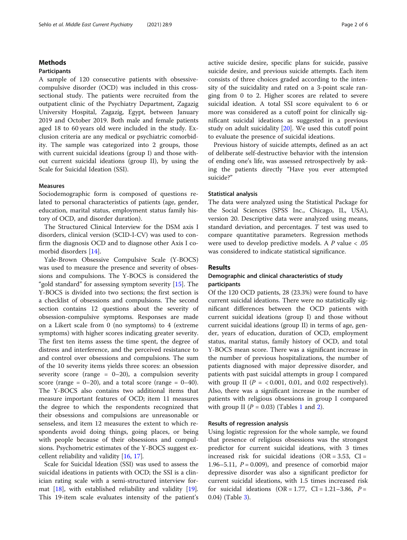#### Methods

#### Participants

A sample of 120 consecutive patients with obsessivecompulsive disorder (OCD) was included in this crosssectional study. The patients were recruited from the outpatient clinic of the Psychiatry Department, Zagazig University Hospital, Zagazig, Egypt, between January 2019 and October 2019. Both male and female patients aged 18 to 60 years old were included in the study. Exclusion criteria are any medical or psychiatric comorbidity. The sample was categorized into 2 groups, those with current suicidal ideations (group I) and those without current suicidal ideations (group II), by using the Scale for Suicidal Ideation (SSI).

#### Measures

Sociodemographic form is composed of questions related to personal characteristics of patients (age, gender, education, marital status, employment status family history of OCD, and disorder duration).

The Structured Clinical Interview for the DSM axis Ι disorders, clinical version (SCID-I-CV) was used to confirm the diagnosis OCD and to diagnose other Axis I comorbid disorders [\[14\]](#page-4-0).

Yale-Brown Obsessive Compulsive Scale (Y-BOCS) was used to measure the presence and severity of obsessions and compulsions. The Y-BOCS is considered the "gold standard" for assessing symptom severity [\[15\]](#page-4-0). The Y-BOCS is divided into two sections; the first section is a checklist of obsessions and compulsions. The second section contains 12 questions about the severity of obsession-compulsive symptoms. Responses are made on a Likert scale from 0 (no symptoms) to 4 (extreme symptoms) with higher scores indicating greater severity. The first ten items assess the time spent, the degree of distress and interference, and the perceived resistance to and control over obsessions and compulsions. The sum of the 10 severity items yields three scores: an obsession severity score (range =  $0-20$ ), a compulsion severity score (range =  $0-20$ ), and a total score (range =  $0-40$ ). The Y-BOCS also contains two additional items that measure important features of OCD; item 11 measures the degree to which the respondents recognized that their obsessions and compulsions are unreasonable or senseless, and item 12 measures the extent to which respondents avoid doing things, going places, or being with people because of their obsessions and compulsions. Psychometric estimates of the Y-BOCS suggest excellent reliability and validity [[16,](#page-4-0) [17\]](#page-4-0).

Scale for Suicidal Ideation (SSI) was used to assess the suicidal ideations in patients with OCD; the SSI is a clinician rating scale with a semi-structured interview format [[18\]](#page-4-0), with established reliability and validity [\[19](#page-4-0)]. This 19-item scale evaluates intensity of the patient's active suicide desire, specific plans for suicide, passive suicide desire, and previous suicide attempts. Each item consists of three choices graded according to the intensity of the suicidality and rated on a 3-point scale ranging from 0 to 2. Higher scores are related to severe suicidal ideation. A total SSI score equivalent to 6 or more was considered as a cutoff point for clinically significant suicidal ideations as suggested in a previous study on adult suicidality [[20](#page-4-0)]. We used this cutoff point to evaluate the presence of suicidal ideations.

Previous history of suicide attempts, defined as an act of deliberate self-destructive behavior with the intension of ending one's life, was assessed retrospectively by asking the patients directly "Have you ever attempted suicide?"

#### Statistical analysis

The data were analyzed using the Statistical Package for the Social Sciences (SPSS Inc., Chicago, IL, USA), version 20. Descriptive data were analyzed using means, standard deviation, and percentages. T test was used to compare quantitative parameters. Regression methods were used to develop predictive models. A  $P$  value  $< .05$ was considered to indicate statistical significance.

#### Results

#### Demographic and clinical characteristics of study participants

Of the 120 OCD patients, 28 (23.3%) were found to have current suicidal ideations. There were no statistically significant differences between the OCD patients with current suicidal ideations (group I) and those without current suicidal ideations (group II) in terms of age, gender, years of education, duration of OCD, employment status, marital status, family history of OCD, and total Y-BOCS mean score. There was a significant increase in the number of previous hospitalizations, the number of patients diagnosed with major depressive disorder, and patients with past suicidal attempts in group I compared with group II ( $P = < 0.001$ , 0.01, and 0.02 respectively). Also, there was a significant increase in the number of patients with religious obsessions in group I compared with group II  $(P = 0.03)$  (Tables [1](#page-2-0) and [2\)](#page-3-0).

#### Results of regression analysis

Using logistic regression for the whole sample, we found that presence of religious obsessions was the strongest predictor for current suicidal ideations, with 3 times increased risk for suicidal ideations (OR =  $3.53$ , CI = 1.96–5.11,  $P = 0.009$ ), and presence of comorbid major depressive disorder was also a significant predictor for current suicidal ideations, with 1.5 times increased risk for suicidal ideations  $(OR = 1.77, CI = 1.21-3.86, P =$ 0.04) (Table [3\)](#page-3-0).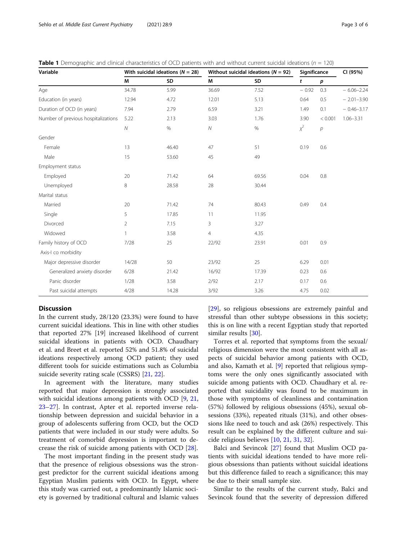<span id="page-2-0"></span>

|  |  |  | <b>Table 1</b> Demographic and clinical characteristics of OCD patients with and without current suicidal ideations ( $n = 120$ ) |
|--|--|--|-----------------------------------------------------------------------------------------------------------------------------------|
|--|--|--|-----------------------------------------------------------------------------------------------------------------------------------|

| Variable                            | With suicidal ideations ( $N = 28$ ) |       | Without suicidal ideations ( $N = 92$ ) |       | Significance |                  | CI (95%)       |
|-------------------------------------|--------------------------------------|-------|-----------------------------------------|-------|--------------|------------------|----------------|
|                                     | М                                    | SD    | М                                       | SD    | t            | p                |                |
| Age                                 | 34.78                                | 5.99  | 36.69                                   | 7.52  | $-0.92$      | 0.3              | $-6.06 - 2.24$ |
| Education (in years)                | 12.94                                | 4.72  | 12.01                                   | 5.13  | 0.64         | 0.5              | $-2.01 - 3.90$ |
| Duration of OCD (in years)          | 7.94                                 | 2.79  | 6.59                                    | 3.21  | 1.49         | 0.1              | $-0.46 - 3.17$ |
| Number of previous hospitalizations | 5.22                                 | 2.13  | 3.03                                    | 1.76  | 3.90         | < 0.001          | $1.06 - 3.31$  |
|                                     | ${\cal N}$                           | $\%$  | ${\cal N}$                              | $\%$  | $\chi^2$     | $\boldsymbol{p}$ |                |
| Gender                              |                                      |       |                                         |       |              |                  |                |
| Female                              | 13                                   | 46.40 | 47                                      | 51    | 0.19         | 0.6              |                |
| Male                                | 15                                   | 53.60 | 45                                      | 49    |              |                  |                |
| Employment status                   |                                      |       |                                         |       |              |                  |                |
| Employed                            | 20                                   | 71.42 | 64                                      | 69.56 | 0.04         | 0.8              |                |
| Unemployed                          | 8                                    | 28.58 | 28                                      | 30.44 |              |                  |                |
| Marital status                      |                                      |       |                                         |       |              |                  |                |
| Married                             | 20                                   | 71.42 | 74                                      | 80.43 | 0.49         | 0.4              |                |
| Single                              | 5                                    | 17.85 | 11                                      | 11.95 |              |                  |                |
| Divorced                            | $\overline{2}$                       | 7.15  | 3                                       | 3.27  |              |                  |                |
| Widowed                             | $\mathbf{1}$                         | 3.58  | $\overline{4}$                          | 4.35  |              |                  |                |
| Family history of OCD               | 7/28                                 | 25    | 22/92                                   | 23.91 | 0.01         | 0.9              |                |
| Axis-I co morbidity                 |                                      |       |                                         |       |              |                  |                |
| Major depressive disorder           | 14/28                                | 50    | 23/92                                   | 25    | 6.29         | 0.01             |                |
| Generalized anxiety disorder        | 6/28                                 | 21.42 | 16/92                                   | 17.39 | 0.23         | 0.6              |                |
| Panic disorder                      | 1/28                                 | 3.58  | 2/92                                    | 2.17  | 0.17         | 0.6              |                |
| Past suicidal attempts              | 4/28                                 | 14.28 | 3/92                                    | 3.26  | 4.75         | 0.02             |                |

### **Discussion**

In the current study, 28/120 (23.3%) were found to have current suicidal ideations. This in line with other studies that reported 27% [19] increased likelihood of current suicidal ideations in patients with OCD. Chaudhary et al. and Breet et al. reported 52% and 51.8% of suicidal ideations respectively among OCD patient; they used different tools for suicide estimations such as Columbia suicide severity rating scale (CSSRS) [\[21,](#page-4-0) [22\]](#page-4-0).

In agreement with the literature, many studies reported that major depression is strongly associated with suicidal ideations among patients with OCD [\[9](#page-4-0), [21](#page-4-0), [23](#page-4-0)–[27](#page-4-0)]. In contrast, Apter et al. reported inverse relationship between depression and suicidal behavior in a group of adolescents suffering from OCD, but the OCD patients that were included in our study were adults. So treatment of comorbid depression is important to decrease the risk of suicide among patients with OCD [[28](#page-4-0)].

The most important finding in the present study was that the presence of religious obsessions was the strongest predictor for the current suicidal ideations among Egyptian Muslim patients with OCD. In Egypt, where this study was carried out, a predominantly Islamic society is governed by traditional cultural and Islamic values [[29\]](#page-4-0), so religious obsessions are extremely painful and stressful than other subtype obsessions in this society; this is on line with a recent Egyptian study that reported similar results [\[30\]](#page-4-0).

Torres et al. reported that symptoms from the sexual/ religious dimension were the most consistent with all aspects of suicidal behavior among patients with OCD, and also, Kamath et al. [\[9](#page-4-0)] reported that religious symptoms were the only ones significantly associated with suicide among patients with OCD. Chaudhary et al. reported that suicidality was found to be maximum in those with symptoms of cleanliness and contamination (57%) followed by religious obsessions (45%), sexual obsessions (33%), repeated rituals (31%), and other obsessions like need to touch and ask (26%) respectively. This result can be explained by the different culture and suicide religious believes [[10](#page-4-0), [21](#page-4-0), [31](#page-4-0), [32](#page-5-0)].

Balci and Sevincok [\[27\]](#page-4-0) found that Muslim OCD patients with suicidal ideations tended to have more religious obsessions than patients without suicidal ideations but this difference failed to reach a significance; this may be due to their small sample size.

Similar to the results of the current study, Balci and Sevincok found that the severity of depression differed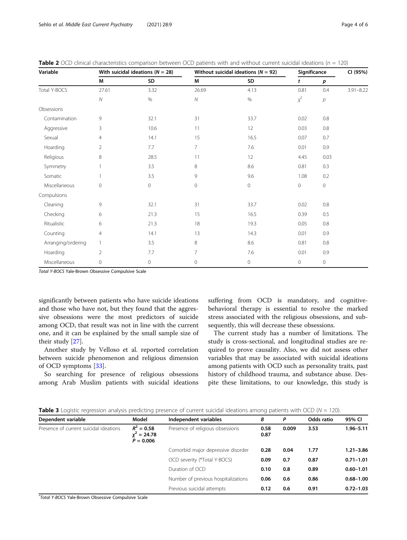| Variable           | With suicidal ideations ( $N = 28$ ) |         | Without suicidal ideations ( $N = 92$ ) |             | Significance |                  | CI (95%)      |
|--------------------|--------------------------------------|---------|-----------------------------------------|-------------|--------------|------------------|---------------|
|                    | M                                    | SD      | M                                       | SD          | t            | p                |               |
| Total Y-BOCS       | 27.61                                | 3.32    | 26.69                                   | 4.13        | 0.81         | 0.4              | $3.91 - 8.22$ |
|                    | ${\cal N}$                           | $\%$    | ${\cal N}$                              | $\%$        | $x^2$        | $\boldsymbol{p}$ |               |
| Obsessions         |                                      |         |                                         |             |              |                  |               |
| Contamination      | 9                                    | 32.1    | 31                                      | 33.7        | 0.02         | 0.8              |               |
| Aggressive         | 3                                    | 10.6    | 11                                      | 12          | 0.03         | 0.8              |               |
| Sexual             | 4                                    | 14.1    | 15                                      | 16.5        | 0.07         | 0.7              |               |
| Hoarding           | $\overline{2}$                       | 7.7     | $\overline{7}$                          | 7.6         | 0.01         | 0.9              |               |
| Religious          | 8                                    | 28.5    | 11                                      | 12          | 4.45         | 0.03             |               |
| Symmetry           | $\mathbf{1}$                         | 3.5     | 8                                       | 8.6         | 0.81         | 0.3              |               |
| Somatic            | 1                                    | 3.5     | 9                                       | 9.6         | 1.08         | 0.2              |               |
| Miscellaneous      | $\mathbf 0$                          | $\circ$ | $\mathbf 0$                             | $\mathbf 0$ | 0            | $\circ$          |               |
| Compulsions        |                                      |         |                                         |             |              |                  |               |
| Cleaning           | 9                                    | 32.1    | 31                                      | 33.7        | 0.02         | 0.8              |               |
| Checking           | 6                                    | 21.3    | 15                                      | 16.5        | 0.39         | 0.5              |               |
| Ritualistic        | 6                                    | 21.3    | 18                                      | 19.3        | 0.05         | 0.8              |               |
| Counting           | $\overline{4}$                       | 14.1    | 13                                      | 14.3        | 0.01         | 0.9              |               |
| Arranging/ordering | $\mathbf{1}$                         | 3.5     | 8                                       | 8.6         | 0.81         | 0.8              |               |
| Hoarding           | $\overline{2}$                       | 7.7     | $\overline{7}$                          | 7.6         | 0.01         | 0.9              |               |
| Miscellaneous      | $\mathbf 0$                          | $\circ$ | $\mathbf{0}$                            | $\mathbf 0$ | 0            | $\circ$          |               |

<span id="page-3-0"></span>**Table 2** OCD clinical characteristics comparison between OCD patients with and without current suicidal ideations ( $n = 120$ )

Total Y-BOCS Yale-Brown Obsessive Compulsive Scale

significantly between patients who have suicide ideations and those who have not, but they found that the aggressive obsessions were the most predictors of suicide among OCD, that result was not in line with the current one, and it can be explained by the small sample size of their study [[27\]](#page-4-0).

Another study by Velloso et al. reported correlation between suicide phenomenon and religious dimension of OCD symptoms [[33\]](#page-5-0).

So searching for presence of religious obsessions among Arab Muslim patients with suicidal ideations suffering from OCD is mandatory, and cognitivebehavioral therapy is essential to resolve the marked stress associated with the religious obsessions, and subsequently, this will decrease these obsessions.

The current study has a number of limitations. The study is cross-sectional, and longitudinal studies are required to prove causality. Also, we did not assess other variables that may be associated with suicidal ideations among patients with OCD such as personality traits, past history of childhood trauma, and substance abuse. Despite these limitations, to our knowledge, this study is

| Dependent variable                                                                   | Model                                        | Independent variables            | B            | P             | Odds ratio    | 95% CI        |
|--------------------------------------------------------------------------------------|----------------------------------------------|----------------------------------|--------------|---------------|---------------|---------------|
| Presence of current suicidal ideations                                               | $R^2 = 0.58$<br>$x^2 = 24.78$<br>$P = 0.006$ | Presence of religious obsessions | 0.58<br>0.87 | 0.009         | 3.53          | $1.96 - 5.11$ |
|                                                                                      | Comorbid major depressive disorder<br>0.28   |                                  | 0.04         | 1.77          | $1.21 - 3.86$ |               |
|                                                                                      |                                              | OCD severity (*Total Y-BOCS)     | 0.09         | 0.7           | 0.87          | $0.71 - 1.01$ |
| Duration of OCD<br>Number of previous hospitalizations<br>Previous suicidal attempts | 0.10                                         | 0.8                              | 0.89         | $0.60 - 1.01$ |               |               |
|                                                                                      |                                              |                                  | 0.06         | 0.6           | 0.86          | $0.68 - 1.00$ |
|                                                                                      |                                              |                                  | 0.12         | 0.6           | 0.91          | $0.72 - 1.03$ |

 $\infty$  of current suicidal ideations among patients with  $\overline{OCD}$  (N = 120).

\* Total Y-BOCS Yale-Brown Obsessive Compulsive Scale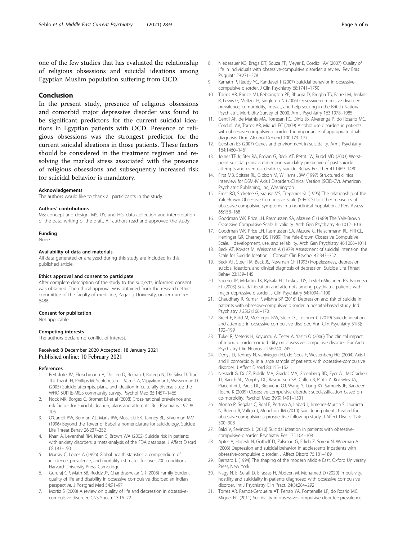<span id="page-4-0"></span>one of the few studies that has evaluated the relationship of religious obsessions and suicidal ideations among Egyptian Muslim population suffering from OCD.

#### Conclusion

In the present study, presence of religious obsessions and comorbid major depressive disorder was found to be significant predictors for the current suicidal ideations in Egyptian patients with OCD. Presence of religious obsessions was the strongest predictor for the current suicidal ideations in those patients. These factors should be considered in the treatment regimen and resolving the marked stress associated with the presence of religious obsessions and subsequently increased risk for suicidal behavior is mandatory.

#### Acknowledgements

The authors would like to thank all participants in the study.

#### Authors' contributions

MS: concept and design. MS, UY, and HG: data collection and interpretation of the data, writing of the draft. All authors read and approved the study.

#### Funding

None

#### Availability of data and materials

All data generated or analyzed during this study are included in this published article.

#### Ethics approval and consent to participate

After complete description of the study to the subjects, informed consent was obtained. The ethical approval was obtained from the research ethics committee of the faculty of medicine, Zagazig University, under number 6486.

#### Consent for publication

Not applicable

#### Competing interests

The authors declare no conflict of interest.

#### Received: 8 December 2020 Accepted: 18 January 2021 Published online: 10 February 2021

#### References

- 1. Bertolote JM, Fleischmann A, De Leo D, Bolhari J, Botega N, De Silva D, Tran Thi Thanh H, Phillips M, Schlebusch L, Varnik A, Vijayakumar L, Wasserman D (2005) Suicide attempts, plans, and ideation in culturally diverse sites: the WHO SUPRE-MISS community survey. Psychol Med 35:1457–1465
- 2. Nock MK, Borges G, Bromet EJ et al (2008) Cross-national prevalence and risk factors for suicidal ideation, plans and attempts. Br J Psychiatry 192:98– 105
- 3. O'Carroll PW, Berman AL, Maris RW, Moscicki EK, Tanney BL, Silverman MM (1996) Beyond the Tower of Babel: a nomenclature for suicidology. Suicide Life Threat Behav 26:237–252
- 4. Khan A, Leventhal RM, Khan S, Brown WA (2002) Suicide risk in patients with anxiety disorders: a meta-analysis of the FDA database. J Affect Disord 68:183–190
- 5. Murray C, Lopez A (1996) Global health statistics: a compendium of incidence, prevalence, and mortality estimates for over 200 conditions. Harvard University Press, Cambridge
- 6. Gururaj GP, Math SB, Reddy JY, Chandrashekar CR (2008) Family burden, quality of life and disability in obsessive compulsive disorder: an Indian perspective. J Postgrad Med 54:91–97
- 7. Mortiz S (2008) A review on quality of life and depression in obsessivecompulsive disorder. CNS Spectr 13:16–22
- 8. Niederauer KG, Braga DT, Souza FP, Meyer E, Cordioli AV (2007) Quality of life in individuals with obsessive-compulsive disorder: a review. Rev Bras Psiquiatr 29:271–278
- 9. Kamath P, Reddy YC, Kandavel T (2007) Suicidal behavior in obsessivecompulsive disorder. J Clin Psychiatry 68:1741–1750
- 10. Torres AR, Prince MJ, Bebbington PE, Bhugra D, Brugha TS, Farrell M, Jenkins R, Lewis G, Meltzer H, Singleton N (2006) Obsessive-compulsive disorder: prevalence, comorbidity, impact, and help-seeking in the British National Psychiatric Morbidity Survey of 2000. Am J Psychiatry 163:1978–1985
- 11. Gentil AF, de Mathis MA, Torresan RC, Diniz JB, Alvarenga P, do Rosario MC, Cordioli AV, Torres AR, Miguel EC (2009) Alcohol use disorders in patients with obsessive-compulsive disorder: the importance of appropriate dualdiagnosis. Drug Alcohol Depend 100:173–177
- 12. Gershon ES (2007) Genes and environment in suicidality. Am J Psychiatry 164:1460–1461
- 13. Joiner TE Jr, Ster RA, Brown G, Beck AT, Pettit JW, Rudd MD (2003) Worstpoint suicidal plans: a dimension suicidality predictive of past suicide attempts and eventual death by suicide. Behav Res Ther 41:1469–1480
- 14. First MB, Spitzer RL, Gibbon M, Williams JBW (1997) Structured clinical interview for DSM-IV Axis I Disorders-Clinical Version (SCID-CV). American Psychiatric Publishing, Inc, Washington
- 15. Frost RO, Steketee G, Krause MS, Trepanier KL (1995) The relationship of the Yale-Brown Obsessive Compulsive Scale (Y-BOCS) to other measures of obsessive compulsive symptoms in a nonclinical population. J Pers Assess 65:158–168
- 16. Goodman WK, Price LH, Rasmussen SA, Mazure C (1989) The Yale-Brown Obsessive Compulsive Scale. II: validity. Arch Gen Psychiatry 46:1012–1016
- 17. Goodman WK, Price LH, Rasmussen SA, Mazure C, Fleischmann RL, Hill CL, Heninger GR, Charney DS (1989) The Yale-Brown Obsessive Compulsive Scale. I: development, use, and reliability. Arch Gen Psychiatry 46:1006–1011
- 18. Beck AT, Kovacs M, Weissman A (1979) Assessment of suicidal intension: the Scale for Suicide Ideation. J Consult Clin Psychol 47:343–352
- 19. Beck AT, Steer RA, Beck JS, Newman CF (1993) Hopelessness, depression, suicidal ideation, and clinical diagnosis of depression. Suicide Life Threat Behav 23:139–145
- 20. Socero TP, Melartin TK, Rytsala HJ, Leskela US, Lestela-Mielonen PS, Isometsa ET (2003) Suicidal ideation and attempts among psychiatric patients with major depressive disorder. J Clin Psychiatry 64:1094–1100
- 21. Chaudhary R, Kumar P, Mishra BP (2016) Depression and risk of suicide in patients with obsessive-compulsive disorder: a hospital-based study. Ind Psychiatry J 25(2):166–170
- 22. Breet E, Kidd M, McGregor NW, Stein DJ, Lochner C (2019) Suicide ideation and attempts in obsessive-compulsive disorder. Ann Clin Psychiatry 31(3): 192–199
- 23. Tukel R, Meteris H, Koyuncu A, Tecer A, Yazici O (2006) The clinical impact of mood disorder comorbidity on obsessive-compulsive disorder. Eur Arch Psychiatry Clin Neurosci 256:240–245
- 24. Denys D, Tenney N, vanMegen HJ, de Geus F, Westenberg HG (2004) Axis I and II comorbidity in a large sample of patients with obsessive-compulsive disorder. J Affect Disord 80:155–162
- 25. Nestadt G, Di CZ, Riddle MA, Grados MA, Greenberg BD, Fyer AJ, McCracken JT, Rauch SL, Murphy DL, Rasmussen SA, Cullen B, Pinto A, Knowles JA, Piacentini J, Pauls DL, Bienvenu OJ, Wang Y, Liang KY, Samuels JF, Bandeen Roche K (2009) Obsessive-compulsive disorder: subclassification based on co-morbidity. Psychol Med 39(9):1491–1501
- 26. Alonso P, Segalas C, Real E, Pertusa A, Labad J, Jimenez-Murcia S, Jaurrieta N, Bueno B, Vallejo J, Menchon JM (2010) Suicide in patients treated for obsessive-compulsive: a prospective follow up study. J Affect Disord 124: 300–308
- 27. Balci V, Sevincok L (2010) Suicidal ideation in patients with obsessivecompulsive disorder. Psychiatry Res 175:104–108
- 28. Apter A, Horesh N, Gothelf D, Zalsman G, Erlich Z, Soreni N, Weizman A (2003) Depression and suicidal behavior in adolescents inpatients with obsessive-compulsive disorder. J Affect Disord 75:181–189
- 29. Bernard L (1994) The shaping of the modern Middle East. Oxford University Press, New York
- 30. Nagy N, El-Serafi D, Elrassas H, Abdeen M, Mohamed D (2020) Impulsivity, hostility and suicidality in patients diagnosed with obsessive compulsive disorder, Int J Psychiatry Clin Pract. 24(3):284–292
- 31. Torres AR, Ramos-Cerqueira AT, Ferrao YA, Fontenelle LF, do Roario MC, Miguel EC (2011) Suicidality in obsessive-compulsive disorder: prevalence